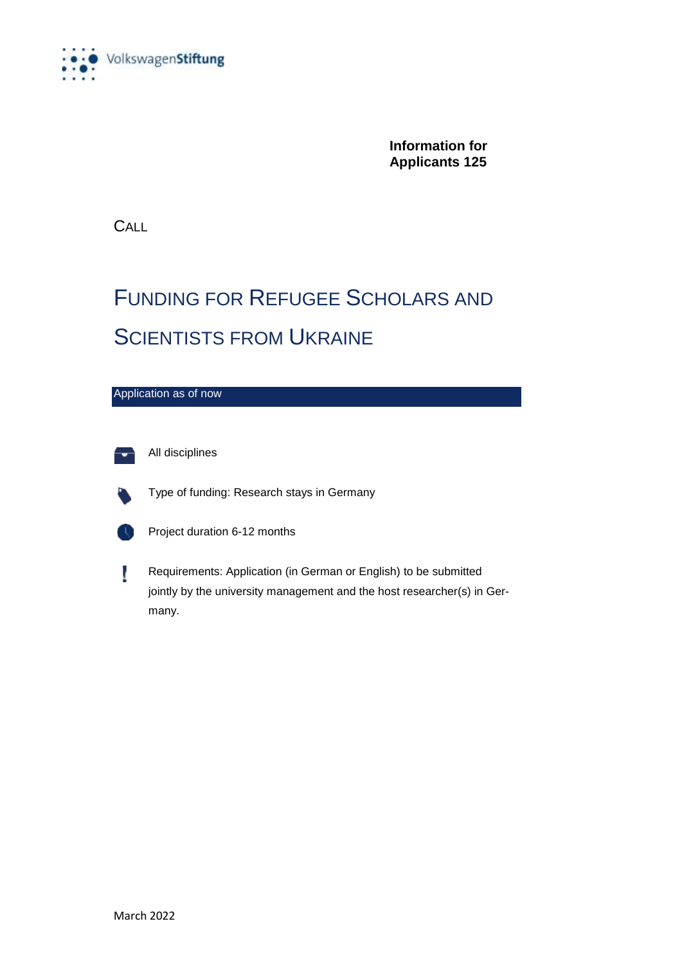

**Information for Applicants 125**

**CALL** 

#### FUNDING FOR REFUGEE SCHOLARS AND **SCIENTISTS FROM UKRAINE**





All disciplines



Type of funding: Research stays in Germany



Project duration 6-12 months



Requirements: Application (in German or English) to be submitted jointly by the university management and the host researcher(s) in Germany.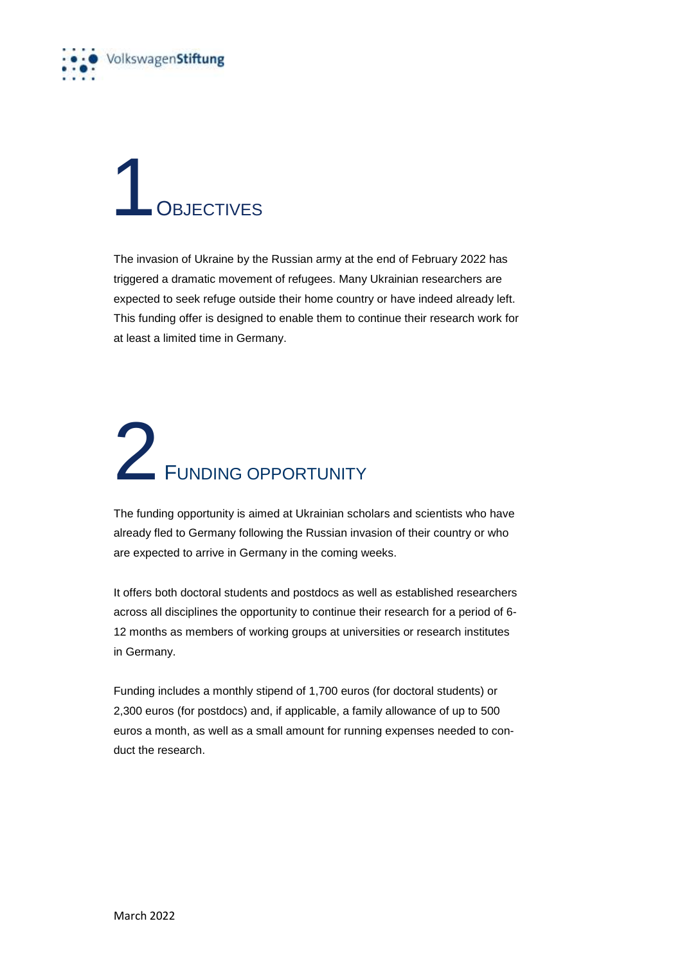

#### **1** OBJECTIVES

The invasion of Ukraine by the Russian army at the end of February 2022 has triggered a dramatic movement of refugees. Many Ukrainian researchers are expected to seek refuge outside their home country or have indeed already left. This funding offer is designed to enable them to continue their research work for at least a limited time in Germany.

#### 2 FUNDING OPPORTUNITY

The funding opportunity is aimed at Ukrainian scholars and scientists who have already fled to Germany following the Russian invasion of their country or who are expected to arrive in Germany in the coming weeks.

It offers both doctoral students and postdocs as well as established researchers across all disciplines the opportunity to continue their research for a period of 6- 12 months as members of working groups at universities or research institutes in Germany.

Funding includes a monthly stipend of 1,700 euros (for doctoral students) or 2,300 euros (for postdocs) and, if applicable, a family allowance of up to 500 euros a month, as well as a small amount for running expenses needed to conduct the research.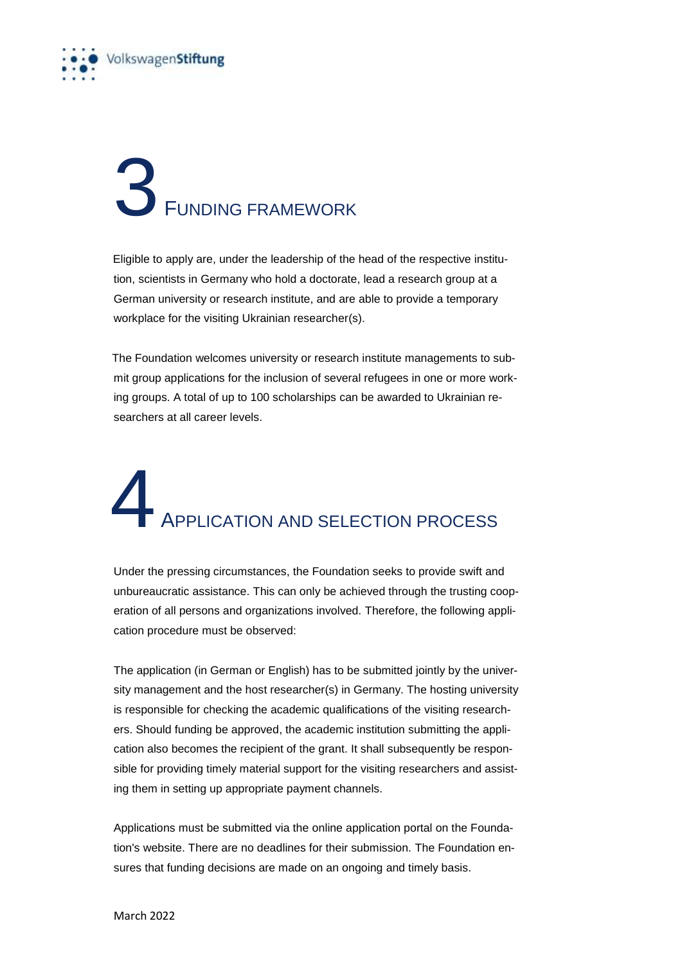

## 3 FUNDING FRAMEWORK

Eligible to apply are, under the leadership of the head of the respective institution, scientists in Germany who hold a doctorate, lead a research group at a German university or research institute, and are able to provide a temporary workplace for the visiting Ukrainian researcher(s).

 The Foundation welcomes university or research institute managements to submit group applications for the inclusion of several refugees in one or more working groups. A total of up to 100 scholarships can be awarded to Ukrainian researchers at all career levels.

### APPLICATION AND SELECTION PROCESS

Under the pressing circumstances, the Foundation seeks to provide swift and unbureaucratic assistance. This can only be achieved through the trusting cooperation of all persons and organizations involved. Therefore, the following application procedure must be observed:

The application (in German or English) has to be submitted jointly by the university management and the host researcher(s) in Germany. The hosting university is responsible for checking the academic qualifications of the visiting researchers. Should funding be approved, the academic institution submitting the application also becomes the recipient of the grant. It shall subsequently be responsible for providing timely material support for the visiting researchers and assisting them in setting up appropriate payment channels.

Applications must be submitted via the online application portal on the Foundation's website. There are no deadlines for their submission. The Foundation ensures that funding decisions are made on an ongoing and timely basis.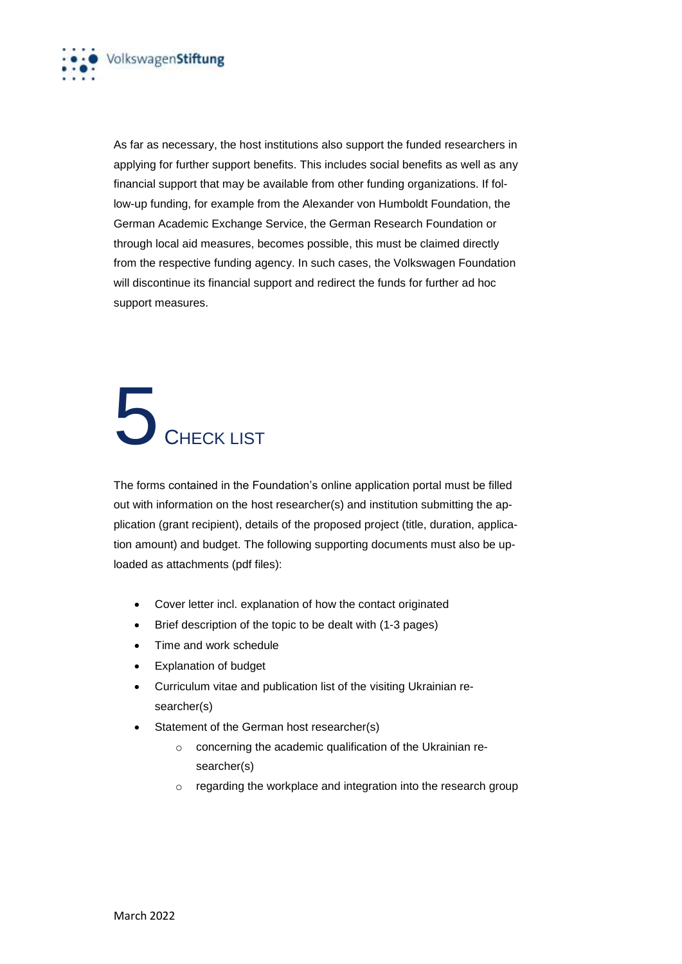

As far as necessary, the host institutions also support the funded researchers in applying for further support benefits. This includes social benefits as well as any financial support that may be available from other funding organizations. If follow-up funding, for example from the Alexander von Humboldt Foundation, the German Academic Exchange Service, the German Research Foundation or through local aid measures, becomes possible, this must be claimed directly from the respective funding agency. In such cases, the Volkswagen Foundation will discontinue its financial support and redirect the funds for further ad hoc support measures.

### 5 CHECK LIST

The forms contained in the Foundation's online application portal must be filled out with information on the host researcher(s) and institution submitting the application (grant recipient), details of the proposed project (title, duration, application amount) and budget. The following supporting documents must also be uploaded as attachments (pdf files):

- Cover letter incl. explanation of how the contact originated
- Brief description of the topic to be dealt with (1-3 pages)
- Time and work schedule
- Explanation of budget
- Curriculum vitae and publication list of the visiting Ukrainian researcher(s)
- Statement of the German host researcher(s)
	- o concerning the academic qualification of the Ukrainian researcher(s)
	- o regarding the workplace and integration into the research group